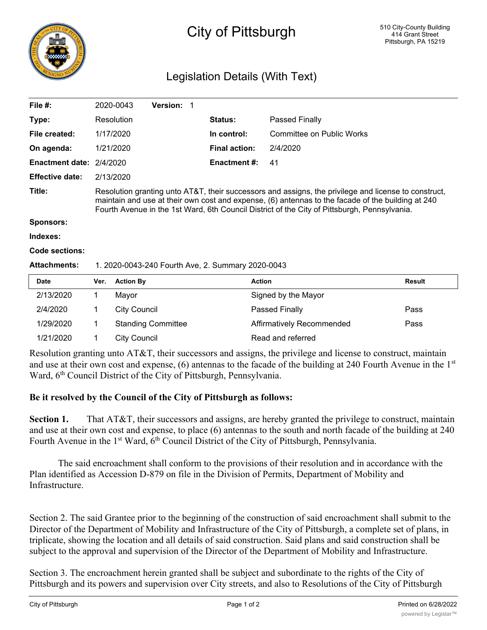

## City of Pittsburgh

## Legislation Details (With Text)

| File #:                  |                                                                                                                                                                                                                                                                                                           | 2020-0043           | <b>Version:</b><br>1      |                      |                           |               |
|--------------------------|-----------------------------------------------------------------------------------------------------------------------------------------------------------------------------------------------------------------------------------------------------------------------------------------------------------|---------------------|---------------------------|----------------------|---------------------------|---------------|
| Type:                    |                                                                                                                                                                                                                                                                                                           | Resolution          |                           | <b>Status:</b>       | Passed Finally            |               |
| File created:            |                                                                                                                                                                                                                                                                                                           | 1/17/2020           |                           | In control:          | Committee on Public Works |               |
| On agenda:               |                                                                                                                                                                                                                                                                                                           | 1/21/2020           |                           | <b>Final action:</b> | 2/4/2020                  |               |
| Enactment date: 2/4/2020 |                                                                                                                                                                                                                                                                                                           |                     |                           | <b>Enactment #:</b>  | 41                        |               |
| <b>Effective date:</b>   |                                                                                                                                                                                                                                                                                                           | 2/13/2020           |                           |                      |                           |               |
| Title:                   | Resolution granting unto AT&T, their successors and assigns, the privilege and license to construct,<br>maintain and use at their own cost and expense, (6) antennas to the facade of the building at 240<br>Fourth Avenue in the 1st Ward, 6th Council District of the City of Pittsburgh, Pennsylvania. |                     |                           |                      |                           |               |
| <b>Sponsors:</b>         |                                                                                                                                                                                                                                                                                                           |                     |                           |                      |                           |               |
| Indexes:                 |                                                                                                                                                                                                                                                                                                           |                     |                           |                      |                           |               |
| Code sections:           |                                                                                                                                                                                                                                                                                                           |                     |                           |                      |                           |               |
| <b>Attachments:</b>      | 1. 2020-0043-240 Fourth Ave, 2. Summary 2020-0043                                                                                                                                                                                                                                                         |                     |                           |                      |                           |               |
| <b>Date</b>              | Ver.                                                                                                                                                                                                                                                                                                      | <b>Action By</b>    |                           |                      | <b>Action</b>             | <b>Result</b> |
| 2/13/2020                | 1                                                                                                                                                                                                                                                                                                         | Mayor               |                           |                      | Signed by the Mayor       |               |
| 2/4/2020                 | 1                                                                                                                                                                                                                                                                                                         | <b>City Council</b> |                           |                      | Passed Finally            | Pass          |
| 1/29/2020                | 1                                                                                                                                                                                                                                                                                                         |                     | <b>Standing Committee</b> |                      | Affirmatively Recommended | Pass          |

Resolution granting unto AT&T, their successors and assigns, the privilege and license to construct, maintain and use at their own cost and expense,  $(6)$  antennas to the facade of the building at 240 Fourth Avenue in the  $1<sup>st</sup>$ Ward, 6<sup>th</sup> Council District of the City of Pittsburgh, Pennsylvania.

## **Be it resolved by the Council of the City of Pittsburgh as follows:**

1/21/2020 1 City Council Read and referred

**Section 1.** That AT&T, their successors and assigns, are hereby granted the privilege to construct, maintain and use at their own cost and expense, to place (6) antennas to the south and north facade of the building at 240 Fourth Avenue in the 1<sup>st</sup> Ward,  $6<sup>th</sup>$  Council District of the City of Pittsburgh, Pennsylvania.

The said encroachment shall conform to the provisions of their resolution and in accordance with the Plan identified as Accession D-879 on file in the Division of Permits, Department of Mobility and Infrastructure.

Section 2. The said Grantee prior to the beginning of the construction of said encroachment shall submit to the Director of the Department of Mobility and Infrastructure of the City of Pittsburgh, a complete set of plans, in triplicate, showing the location and all details of said construction. Said plans and said construction shall be subject to the approval and supervision of the Director of the Department of Mobility and Infrastructure.

Section 3. The encroachment herein granted shall be subject and subordinate to the rights of the City of Pittsburgh and its powers and supervision over City streets, and also to Resolutions of the City of Pittsburgh